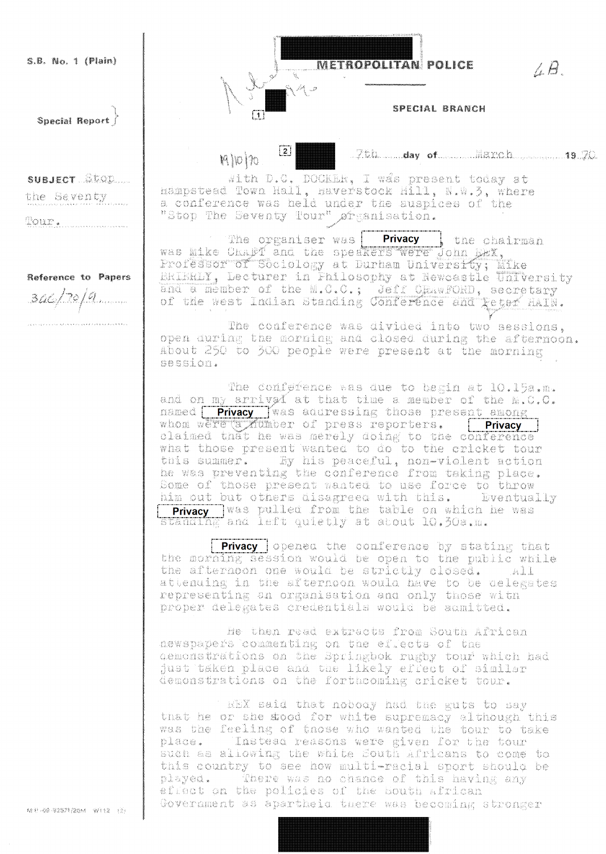S.B. No. 1 (Plain)

Special Report

SUBJECT STOR

the Seventy

Tour . .

Reference to Papers  $70/9$ 

METROPOLITAN: POLICE

SPECIAL BRANCH

 $\overline{[2]}$ Moh

 $\lfloor 1 \rfloor$ 



7. B.

With D.C. DOCKER. I was present today at hampstead Town Hall, naverstock Hill, N.W.3, where a conference was held under the auspices of the "Stop The Seventy Tour" granisation.

The organiser was **Privacy** the channer was the channer were the channer were the same weakener and the Channer were the channer of  $\frac{1}{2}$  and the speakers were donn  $\frac{1}{2}$ . *s* the chairman Professor of Sociology at Durham University: Mike ERIERLY, Lecturer in Philosophy at Newcastle University and a member of the M.C.C.; Jeff ORAWFORD, secretary

The conference was divided into two sessions. open during the morning and closed during the afternoon. About 250 to 300 people were present at the morning session.

The conference was due to begin at 10.15a.m. and on my arrived at that time a member of the  $\mathbb{N}$ .  $\mathbb{C}$ . The  $\mathbb{N}$ .  $\mathbb{C}$ . The  $\mathbb{N}$  and  $\mathbb{C}$  are a sequence of the  $\mathbb{N}$ .  $\mathbb{C}$ . whom were a number of press reporters. [ **Privacy** ]<br>claimed that he was merely doing to the conference<br>what those present wanted to do to the cricket tour this summer. By his peaceful, non-violent action<br>he was preventing the conference from taking place. Some of those present wanted to use force to throw him out but others disagreed with this. Eventually **Privacy** was pulled from the table on which he was wananin Fand left quietly at about 10.30a.m.

**Privacy** opened the conference by stating that the morning session would be open to the public while the afternoon one would be strictly closed. All attenuing in the afternoon would have to be delegates representing an organisation and only those with proper delegates credentials would be admitted.

He then read extracts from South African newspapers commenting on the effects of the demonstrations on the Springbok rugby tour which had just taken place and the likely effect of similar demonstrations on the forthcoming cricket tour.

REX said that nobody had the guts to say that he or she stood for white supremacy although this was the feeling of those who wanted the tour to take place. The tead reasons were given for the tour such as allowing the white South Africans to come to this country to see how multi-racial sport should be played. There was no chance of this having any effect on the policies of the South african Government as apartheid there was becoming stronger

AS R - 00 - 9.2333 / 2004 - 92 (33) - 63 /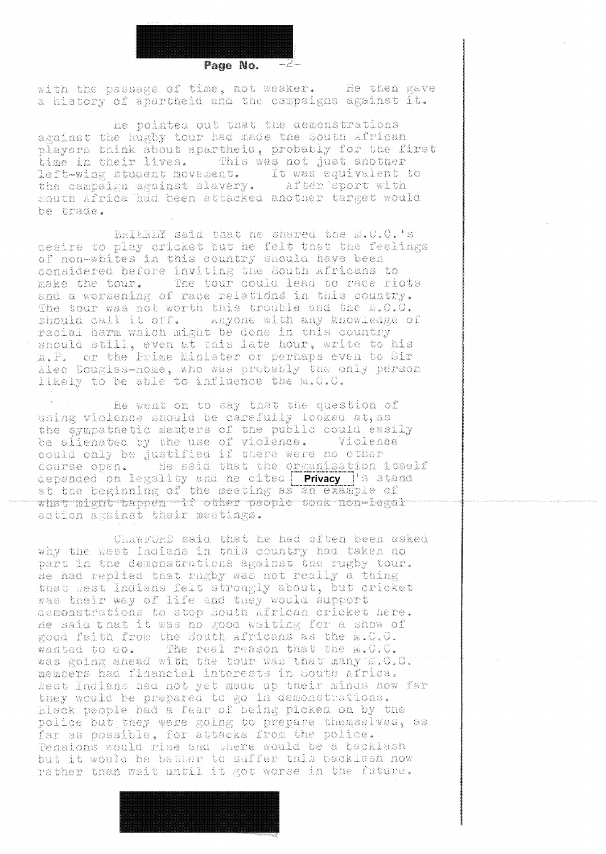

Page No.

with the passage of time, not weaker. - He then gave a history of apartheid and the campaigns against it.

He pointed out that the demonstrations against the Rugby tour had made the South African players think about apartheid, probably for the first time in their lives. This was not just another left-wing student movement. It was equivalent to the campaign against slavery. After sport with South Africa had been attacked another target would be trade.

BRIERLY said that he shared the N.C.C.'s desire to play cricket but he felt that the feelings of non-whites in this country should have been considered before inviting the South Africans to make the tour. The tour could lead to race riots and a worsening of race relations in this country. The tour was not worth this trouble and the M.C.C. should call it off. Anyone with any knowledge of racial harm which might be done in this country should still, even at this late hour, write to his M.P. or the Prime Minister or perhaps even to Sir aled Douglas-Home, who was probably the only person<br>likely to be able to influence the m.C.C.

He went on to say that the question of using violence should be carefully looked at, as the sympathetic members of the public could easily be alienated by the use of violence. Violence could only be justified if there were no other course open. The said that the organisation itself depended on legality and he cited **Privacy** 's stand at the beginning of the meeting as an example of what might happen if other people took non-legal action against their meetings.

ChawfORD said that he had often been asked why the West Indians in this country had taken no part in the demonstrations against the rugby tour. He had replied that rugby was not really a thing that West Indiana felt strongly about, but cricket was their way of life and they would support demonstrations to stop South African cricket here. He said that it was no good waiting for a show of good faith from the South Africans as the M.C.C. The real reason that the M.C.C. wanted to do. was going ahead with the tour was that many m.o.o. members had financial interests in South Africa. West Indians had not yet made up their minds how far they would be prepared to go in demonstrations. Black people had a fear of being picked on by the police but they were going to prepare themselves, as far as possible, for attacks from the police. but it would be better to suffer this backlash now rather than wait until it got worse in the future.

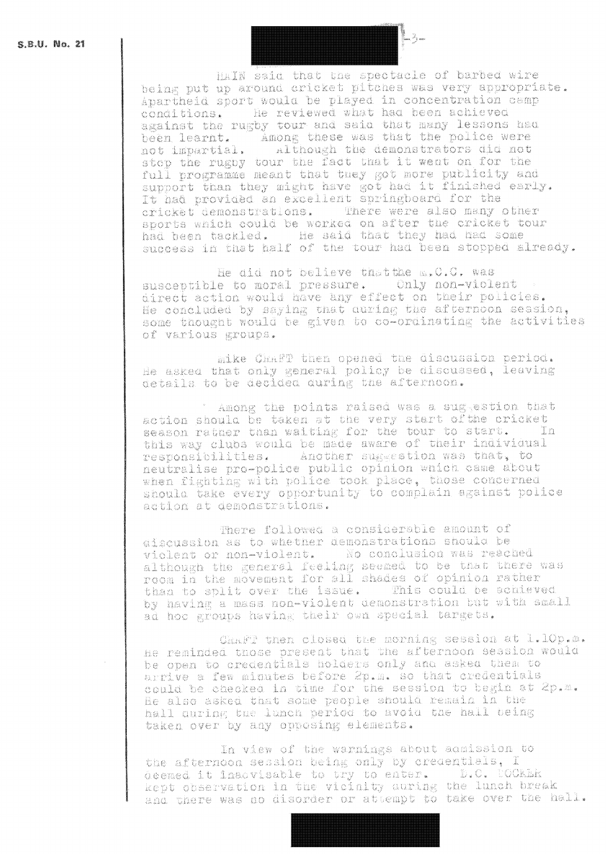HAIN said that the spectacle of barbed wire being put up around cricket pitches was very appropriate. Apartheid sport would be played in concentration camp conditions. He reviewed what had been achieved against the rugby tour and said that many lessons had been learnt. " Among these was that the police were although the demonstrators did not not impartial. stop the rugby tour the fact that it went on for the full programme meant that they got more publicity and support than they might have got had it finished early. It had provided an excellent springboard for the cricket demonstrations. There were also many other sports which could be worked on after the cricket tour had been tackled. He said that they had had some success in that half of the tour had been stopped already.

He did not believe that the m. O.C. was susceptible to moral pressure. Only non-violent direct action would have any effect on their policies. He concluded by saying that curing the afternoon seasion, some thought would be given to co-ordinating the activities of various groups.

mike Chaff then opened the discussion period. He asked that only general policy be discussed, leaving details to be declusa auring the afternoon.

Among the points raised was a suggestion that action should be taken at the very start of the cricket season rather than waiting for the tour to start. - In this way clubs would be made aware of their individual responsibilities. Another suggestion was that, to<br>neutralise pro-police public opinion which came about when fighting with police took place, those concerned should take every opportunity to complain egainst police action at demonstrations.

There followed a considerable amount of discussion as to whether demonstrations should be violent or non-violent. No conclusion was reached although the general feeling seemed to be that there was room in the movement for all shades of opinion rather than to split over the issue. This could be achieved by having a mass non-violent demonstration but with small ad hoc groups having their own special targets.

Chaff then closed the morning session at l.10p.m. he reminded those present that the afternoon session would be open to credentials holders only and asked them to arrive a few minutes before 2p.m. so that credentials could be checked in time for the session to begin at 2p.m. He also asked that some people should remain in the hall during the lunch period to avoid the hall being taken over by any opposing elements.

In view of the warnings about admission to the afternoon session being only by credentials, I deemed it inadvisable to try to enter. D.C. COCKER kept observation in the vicinity during the lunch break and there was no disorder or attempt to take over the hall.